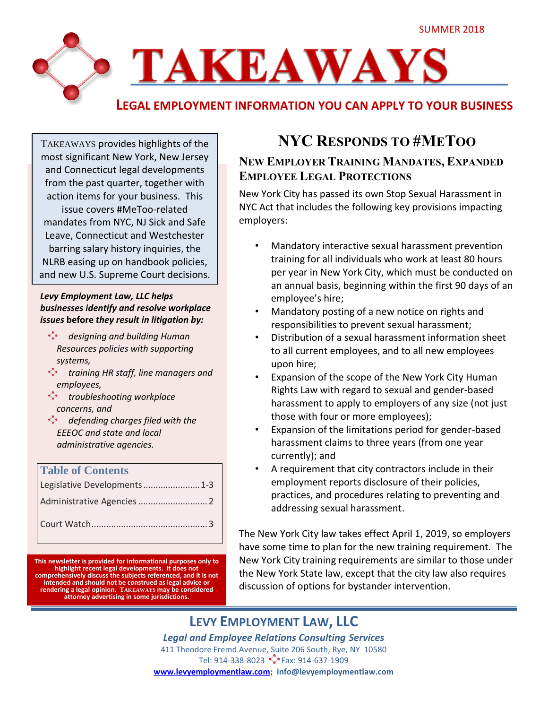

TAKEAWAYS provides highlights of the most significant New York, New Jersey and Connecticut legal developments from the past quarter, together with action items for your business. This issue covers #MeToo-related mandates from NYC, NJ Sick and Safe Leave, Connecticut and Westchester barring salary history inquiries, the NLRB easing up on handbook policies, and new U.S. Supreme Court decisions.

#### *Levy Employment Law, LLC helps businesses identify and resolve workplace issues* **before** *they result in litigation by:*

- *designing and building Human Resources policies with supporting systems,*
- *training HR staff, line managers and employees,*
- *troubleshooting workplace concerns, and*
- *defending charges filed with the EEEOC and state and local administrative agencies.*

### **Table of Contents**

| Legislative Developments1-3 |  |
|-----------------------------|--|
|                             |  |
|                             |  |

**This newsletter is provided for informational purposes only to highlight recent legal developments. It does not comprehensively discuss the subjects referenced, and it is not intended and should not be construed as legal advice or rendering a legal opinion. TAKEAWAYS may be considered attorney advertising in some jurisdictions.**

## **NYC RESPONDS TO #METOO**

### **NEW EMPLOYER TRAINING MANDATES, EXPANDED EMPLOYEE LEGAL PROTECTIONS**

New York City has passed its own Stop Sexual Harassment in NYC Act that includes the following key provisions impacting employers:

- Mandatory interactive sexual harassment prevention training for all individuals who work at least 80 hours per year in New York City, which must be conducted on an annual basis, beginning within the first 90 days of an employee's hire;
- Mandatory posting of a new notice on rights and responsibilities to prevent sexual harassment;
- Distribution of a sexual harassment information sheet to all current employees, and to all new employees upon hire;
- Expansion of the scope of the New York City Human Rights Law with regard to sexual and gender-based harassment to apply to employers of any size (not just those with four or more employees);
- Expansion of the limitations period for gender-based harassment claims to three years (from one year currently); and
- A requirement that city contractors include in their employment reports disclosure of their policies, practices, and procedures relating to preventing and addressing sexual harassment.

The New York City law takes effect April 1, 2019, so employers have some time to plan for the new training requirement. The New York City training requirements are similar to those under the New York State law, except that the city law also requires discussion of options for bystander intervention.

### **LEVY EMPLOYMENT LAW, LLC**

*Legal and Employee Relations Consulting Services* 411 Theodore Fremd Avenue, Suite 206 South, Rye, NY 10580 Tel: 914-338-8023 \*\* Fax: 914-637-1909 **[www.levyemploymentlaw.com;](http://www.levyemploymentlaw.com/) info@levyemploymentlaw.com**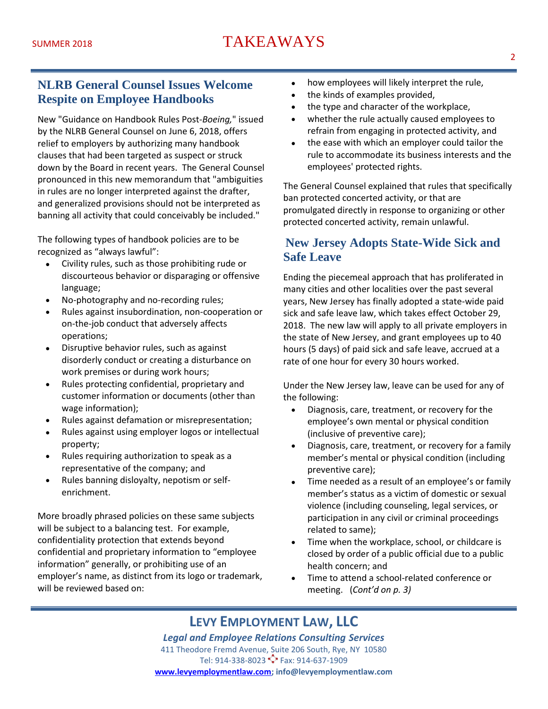### **NLRB General Counsel Issues Welcome Respite on Employee Handbooks**

New "Guidance on Handbook Rules Post-*Boeing,*" issued by the NLRB General Counsel on June 6, 2018, offers relief to employers by authorizing many handbook clauses that had been targeted as suspect or struck down by the Board in recent years. The General Counsel pronounced in this new memorandum that "ambiguities in rules are no longer interpreted against the drafter, and generalized provisions should not be interpreted as banning all activity that could conceivably be included."

The following types of handbook policies are to be recognized as "always lawful":

- Civility rules, such as those prohibiting rude or discourteous behavior or disparaging or offensive language;
- No-photography and no-recording rules;
- Rules against insubordination, non-cooperation or on-the-job conduct that adversely affects operations;
- Disruptive behavior rules, such as against disorderly conduct or creating a disturbance on work premises or during work hours;
- Rules protecting confidential, proprietary and customer information or documents (other than wage information);
- Rules against defamation or misrepresentation;
- Rules against using employer logos or intellectual property;
- Rules requiring authorization to speak as a representative of the company; and
- Rules banning disloyalty, nepotism or selfenrichment.

More broadly phrased policies on these same subjects will be subject to a balancing test. For example, confidentiality protection that extends beyond confidential and proprietary information to "employee information" generally, or prohibiting use of an employer's name, as distinct from its logo or trademark, will be reviewed based on:

- how employees will likely interpret the rule,
- the kinds of examples provided,
- the type and character of the workplace,
- whether the rule actually caused employees to refrain from engaging in protected activity, and
- the ease with which an employer could tailor the rule to accommodate its business interests and the employees' protected rights.

The General Counsel explained that rules that specifically ban protected concerted activity, or that are promulgated directly in response to organizing or other protected concerted activity, remain unlawful.

### **New Jersey Adopts State-Wide Sick and Safe Leave**

Ending the piecemeal approach that has proliferated in many cities and other localities over the past several years, New Jersey has finally adopted a state-wide paid sick and safe leave law, which takes effect October 29, 2018. The new law will apply to all private employers in the state of New Jersey, and grant employees up to 40 hours (5 days) of paid sick and safe leave, accrued at a rate of one hour for every 30 hours worked.

Under the New Jersey law, leave can be used for any of the following:

- Diagnosis, care, treatment, or recovery for the employee's own mental or physical condition (inclusive of preventive care);
- Diagnosis, care, treatment, or recovery for a family member's mental or physical condition (including preventive care);
- Time needed as a result of an employee's or family member's status as a victim of domestic or sexual violence (including counseling, legal services, or participation in any civil or criminal proceedings related to same);
- Time when the workplace, school, or childcare is closed by order of a public official due to a public health concern; and
- Time to attend a school-related conference or meeting. (*Cont'd on p. 3)*

### **LEVY EMPLOYMENT LAW, LLC**

*Legal and Employee Relations Consulting Services* 411 Theodore Fremd Avenue, Suite 206 South, Rye, NY 10580 Tel: 914-338-8023 \*\* Fax: 914-637-1909 **[www.levyemploymentlaw.com;](http://www.levyemploymentlaw.com/) info@levyemploymentlaw.com**